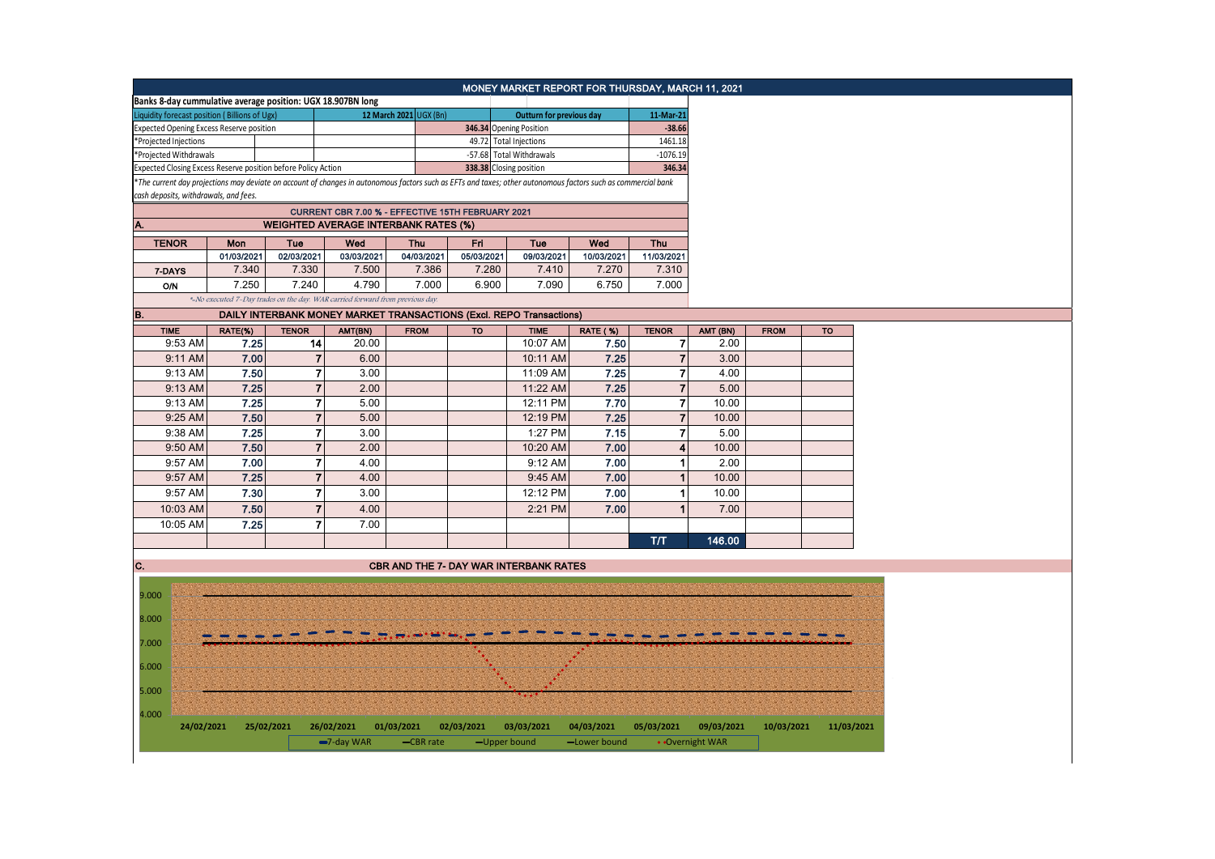|                                                                                                                                                               |                                                                               |                                       |                | Banks 8-day cummulative average position: UGX 18.907BN long |                        |                          | MONEY MARKET REPORT FOR THURSDAY, MARCH 11, 2021 |              |                         |                 |             |            |
|---------------------------------------------------------------------------------------------------------------------------------------------------------------|-------------------------------------------------------------------------------|---------------------------------------|----------------|-------------------------------------------------------------|------------------------|--------------------------|--------------------------------------------------|--------------|-------------------------|-----------------|-------------|------------|
|                                                                                                                                                               |                                                                               |                                       |                |                                                             | 12 March 2021 UGX (Bn) |                          | Outturn for previous day                         |              | 11-Mar-21               |                 |             |            |
| Liquidity forecast position (Billions of Ugx)<br><b>Expected Opening Excess Reserve position</b>                                                              |                                                                               |                                       |                |                                                             |                        |                          | 346.34 Opening Position                          |              | $-38.66$                |                 |             |            |
| *Projected Injections                                                                                                                                         |                                                                               |                                       |                |                                                             |                        | 49.72 Total Injections   |                                                  | 1461.18      |                         |                 |             |            |
| *Projected Withdrawals                                                                                                                                        |                                                                               |                                       |                |                                                             |                        | -57.68 Total Withdrawals |                                                  | $-1076.19$   |                         |                 |             |            |
| Expected Closing Excess Reserve position before Policy Action                                                                                                 |                                                                               |                                       |                |                                                             |                        |                          | 338.38 Closing position                          |              | 346.34                  |                 |             |            |
| *The current day projections may deviate on account of changes in autonomous factors such as EFTs and taxes; other autonomous factors such as commercial bank |                                                                               |                                       |                |                                                             |                        |                          |                                                  |              |                         |                 |             |            |
|                                                                                                                                                               |                                                                               | cash deposits, withdrawals, and fees. |                |                                                             |                        |                          |                                                  |              |                         |                 |             |            |
| CURRENT CBR 7.00 % - EFFECTIVE 15TH FEBRUARY 2021                                                                                                             |                                                                               |                                       |                |                                                             |                        |                          |                                                  |              |                         |                 |             |            |
|                                                                                                                                                               | <b>WEIGHTED AVERAGE INTERBANK RATES (%)</b>                                   |                                       |                |                                                             |                        |                          |                                                  |              |                         |                 |             |            |
| <b>TENOR</b>                                                                                                                                                  |                                                                               | Mon                                   | Tue            | Wed                                                         | Thu                    | Fri                      | Tue                                              | Wed          | Thu                     |                 |             |            |
|                                                                                                                                                               |                                                                               | 01/03/2021                            | 02/03/2021     | 03/03/2021                                                  | 04/03/2021             | 05/03/2021               | 09/03/2021                                       | 10/03/2021   | 11/03/2021              |                 |             |            |
| 7-DAYS                                                                                                                                                        |                                                                               | 7.340                                 | 7.330          | 7.500                                                       | 7.386                  | 7.280                    | 7.410                                            | 7.270        | 7.310                   |                 |             |            |
| <b>O/N</b>                                                                                                                                                    |                                                                               | 7.250                                 | 7.240          | 4.790                                                       | 7.000                  | 6.900                    | 7.090                                            | 6.750        | 7.000                   |                 |             |            |
|                                                                                                                                                               | *-No executed 7-Day trades on the day. WAR carried forward from previous day. |                                       |                |                                                             |                        |                          |                                                  |              |                         |                 |             |            |
| В.                                                                                                                                                            | DAILY INTERBANK MONEY MARKET TRANSACTIONS (Excl. REPO Transactions)           |                                       |                |                                                             |                        |                          |                                                  |              |                         |                 |             |            |
| <b>TIME</b>                                                                                                                                                   |                                                                               | RATE(%)                               | <b>TENOR</b>   | AMT(BN)                                                     | <b>FROM</b>            | <b>TO</b>                | <b>TIME</b>                                      | RATE (%)     | <b>TENOR</b>            | AMT (BN)        | <b>FROM</b> | <b>TO</b>  |
|                                                                                                                                                               | 9:53 AM                                                                       | 7.25                                  | 14             | 20.00                                                       |                        |                          | 10:07 AM                                         | 7.50         | 7                       | 2.00            |             |            |
|                                                                                                                                                               | 9:11 AM                                                                       | 7.00                                  | $\overline{7}$ | 6.00                                                        |                        |                          | 10:11 AM                                         | 7.25         | $\overline{7}$          | 3.00            |             |            |
|                                                                                                                                                               | 9:13 AM                                                                       | 7.50                                  | $\overline{7}$ | 3.00                                                        |                        |                          | 11:09 AM                                         | 7.25         | $\overline{7}$          | 4.00            |             |            |
|                                                                                                                                                               | 9:13 AM                                                                       | 7.25                                  | $\overline{7}$ | 2.00                                                        |                        |                          | 11:22 AM                                         | 7.25         | $\overline{7}$          | 5.00            |             |            |
|                                                                                                                                                               | 9:13 AM                                                                       | 7.25                                  | $\overline{7}$ | 5.00                                                        |                        |                          | 12:11 PM                                         | 7.70         | $\overline{7}$          | 10.00           |             |            |
|                                                                                                                                                               | 9:25 AM                                                                       | 7.50                                  | $\overline{7}$ | 5.00                                                        |                        |                          | 12:19 PM                                         | 7.25         | $\overline{7}$          | 10.00           |             |            |
|                                                                                                                                                               | 9:38 AM                                                                       | 7.25                                  | $\overline{7}$ | 3.00                                                        |                        |                          | 1:27 PM                                          | 7.15         | 7                       | 5.00            |             |            |
|                                                                                                                                                               | 9:50 AM                                                                       | 7.50                                  | $\overline{7}$ | 2.00                                                        |                        |                          | 10:20 AM                                         | 7.00         | $\overline{\mathbf{4}}$ | 10.00           |             |            |
|                                                                                                                                                               | 9:57 AM                                                                       | 7.00                                  | $\mathbf{7}$   | 4.00                                                        |                        |                          | 9:12 AM                                          | 7.00         | 1                       | 2.00            |             |            |
|                                                                                                                                                               | 9:57 AM                                                                       | 7.25                                  | $\overline{7}$ | 4.00                                                        |                        |                          | 9:45 AM                                          | 7.00         | $\overline{1}$          | 10.00           |             |            |
|                                                                                                                                                               | 9:57 AM                                                                       | 7.30                                  | $\overline{7}$ | 3.00                                                        |                        |                          | 12:12 PM                                         | 7.00         | 1                       | 10.00           |             |            |
|                                                                                                                                                               | 10:03 AM                                                                      | 7.50                                  | $\mathbf{7}$   | 4.00                                                        |                        |                          | 2:21 PM                                          | 7.00         |                         | 7.00            |             |            |
|                                                                                                                                                               | 10:05 AM                                                                      | 7.25                                  | $\overline{7}$ | 7.00                                                        |                        |                          |                                                  |              |                         |                 |             |            |
|                                                                                                                                                               |                                                                               |                                       |                |                                                             |                        |                          |                                                  |              | T/T                     | 146.00          |             |            |
|                                                                                                                                                               |                                                                               |                                       |                |                                                             |                        |                          |                                                  |              |                         |                 |             |            |
| C.                                                                                                                                                            |                                                                               |                                       |                |                                                             |                        |                          | <b>CBR AND THE 7- DAY WAR INTERBANK RATES</b>    |              |                         |                 |             |            |
|                                                                                                                                                               |                                                                               |                                       |                |                                                             |                        |                          |                                                  |              |                         |                 |             |            |
| 9.000                                                                                                                                                         |                                                                               |                                       |                |                                                             |                        |                          |                                                  |              |                         |                 |             |            |
| 8.000                                                                                                                                                         |                                                                               |                                       |                |                                                             |                        |                          |                                                  |              |                         |                 |             |            |
|                                                                                                                                                               |                                                                               |                                       |                |                                                             |                        |                          |                                                  |              |                         |                 |             |            |
| 7.000                                                                                                                                                         |                                                                               |                                       |                |                                                             |                        |                          |                                                  |              |                         |                 |             |            |
|                                                                                                                                                               |                                                                               |                                       |                |                                                             |                        |                          |                                                  |              |                         |                 |             |            |
| 6.000                                                                                                                                                         |                                                                               |                                       |                |                                                             |                        |                          |                                                  |              |                         |                 |             |            |
| 5.000                                                                                                                                                         |                                                                               |                                       |                |                                                             |                        |                          |                                                  |              |                         |                 |             |            |
|                                                                                                                                                               |                                                                               |                                       |                |                                                             |                        |                          |                                                  |              |                         |                 |             |            |
| 4.000                                                                                                                                                         |                                                                               |                                       |                |                                                             |                        |                          |                                                  |              |                         |                 |             |            |
|                                                                                                                                                               | 24/02/2021                                                                    | 25/02/2021                            |                | 26/02/2021                                                  | 01/03/2021             | 02/03/2021               | 03/03/2021                                       | 04/03/2021   | 05/03/2021              | 09/03/2021      | 10/03/2021  | 11/03/2021 |
|                                                                                                                                                               |                                                                               |                                       |                | -7-day WAR                                                  | -CBR rate              |                          | -Upper bound                                     | -Lower bound |                         | • Overnight WAR |             |            |
|                                                                                                                                                               |                                                                               |                                       |                |                                                             |                        |                          |                                                  |              |                         |                 |             |            |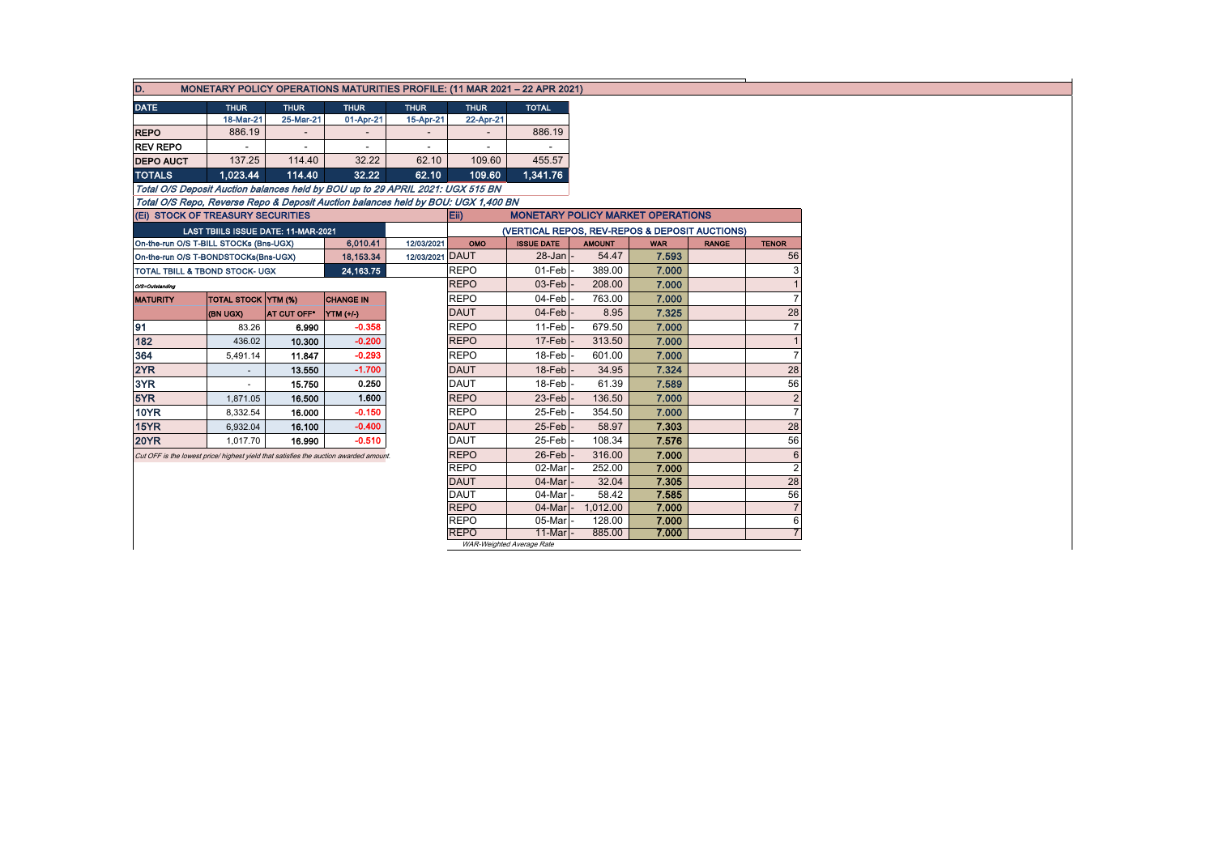| D.                                           | MONETARY POLICY OPERATIONS MATURITIES PROFILE: (11 MAR 2021 - 22 APR 2021)            |             |                                          |                 |                            |                           |                                                |            |              |                |  |  |
|----------------------------------------------|---------------------------------------------------------------------------------------|-------------|------------------------------------------|-----------------|----------------------------|---------------------------|------------------------------------------------|------------|--------------|----------------|--|--|
| <b>DATE</b>                                  | <b>THUR</b>                                                                           | <b>THUR</b> | <b>THUR</b>                              | <b>THUR</b>     | <b>THUR</b>                | <b>TOTAL</b>              |                                                |            |              |                |  |  |
|                                              | 18-Mar-21                                                                             | 25-Mar-21   | 01-Apr-21                                | 15-Apr-21       | 22-Apr-21                  |                           |                                                |            |              |                |  |  |
| <b>REPO</b>                                  | 886.19<br>$\overline{\phantom{m}}$                                                    |             |                                          |                 | 886.19                     |                           |                                                |            |              |                |  |  |
| <b>REV REPO</b>                              |                                                                                       |             | $\overline{\phantom{a}}$                 |                 |                            |                           |                                                |            |              |                |  |  |
| <b>DEPO AUCT</b>                             | 137.25                                                                                | 114.40      | 32.22                                    | 62.10           | 109.60                     | 455.57                    |                                                |            |              |                |  |  |
| <b>TOTALS</b><br>114.40<br>1.023.44<br>32.22 |                                                                                       |             |                                          | 62.10           | 109.60                     | 1,341.76                  |                                                |            |              |                |  |  |
|                                              | Total O/S Deposit Auction balances held by BOU up to 29 APRIL 2021: UGX 515 BN        |             |                                          |                 |                            |                           |                                                |            |              |                |  |  |
|                                              | Total O/S Repo, Reverse Repo & Deposit Auction balances held by BOU: UGX 1,400 BN     |             |                                          |                 |                            |                           |                                                |            |              |                |  |  |
|                                              | (Ei) STOCK OF TREASURY SECURITIES                                                     |             | <b>MONETARY POLICY MARKET OPERATIONS</b> |                 |                            |                           |                                                |            |              |                |  |  |
|                                              | LAST TBIILS ISSUE DATE: 11-MAR-2021                                                   |             |                                          |                 |                            |                           | (VERTICAL REPOS, REV-REPOS & DEPOSIT AUCTIONS) |            |              |                |  |  |
|                                              | On-the-run O/S T-BILL STOCKs (Bns-UGX)                                                |             | 6,010.41                                 | 12/03/2021      | OMO                        | <b>ISSUE DATE</b>         | <b>AMOUNT</b>                                  | <b>WAR</b> | <b>RANGE</b> | <b>TENOR</b>   |  |  |
|                                              | On-the-run O/S T-BONDSTOCKs(Bns-UGX)                                                  |             | 18,153.34                                | 12/03/2021 DAUT |                            | $28$ -Jan                 | 54.47                                          | 7.593      |              | 56             |  |  |
|                                              | TOTAL TBILL & TBOND STOCK- UGX                                                        |             | 24,163.75                                |                 | <b>REPO</b>                | 01-Feb<br>03-Feb          | 389.00                                         | 7.000      |              |                |  |  |
| O/S=Outstanding                              |                                                                                       |             |                                          |                 | <b>REPO</b>                |                           | 208.00                                         | 7.000      |              |                |  |  |
| <b>MATURITY</b>                              | <b>TOTAL STOCK YTM (%)</b>                                                            |             | <b>CHANGE IN</b>                         |                 | <b>REPO</b>                | 04-Feb                    | 763.00                                         | 7.000      |              |                |  |  |
|                                              | (BN UGX)                                                                              | AT CUT OFF* | YTM (+/-)                                |                 | <b>DAUT</b>                |                           | $04$ -Feb<br>8.95                              | 7.325      |              | 28             |  |  |
| 91                                           | 83.26                                                                                 | 6.990       | $-0.358$                                 |                 | <b>REPO</b>                |                           | 679.50                                         | 7.000      |              |                |  |  |
| 182                                          | 436.02                                                                                | 10.300      | $-0.200$                                 |                 | <b>REPO</b>                |                           | 313.50                                         | 7.000      |              |                |  |  |
| 364                                          | 5,491.14                                                                              | 11.847      | $-0.293$                                 |                 | <b>REPO</b>                | 18-Feb                    | 601.00                                         | 7.000      |              |                |  |  |
| 2YR                                          |                                                                                       | 13.550      | $-1.700$                                 |                 | <b>DAUT</b>                | 18-Feb                    | 34.95                                          | 7.324      |              | 28             |  |  |
| 3YR                                          | $\sim$                                                                                | 15.750      | 0.250                                    |                 | <b>DAUT</b>                | 18-Feb                    | 61.39                                          | 7.589      |              | 56             |  |  |
| 5YR                                          | 1,871.05                                                                              | 16.500      | 1.600                                    |                 | <b>REPO</b>                | 23-Feb                    | 136.50                                         | 7.000      |              |                |  |  |
| <b>10YR</b>                                  | 8,332.54                                                                              | 16.000      | $-0.150$                                 |                 | <b>REPO</b>                | 25-Feb                    | 354.50                                         | 7.000      |              |                |  |  |
| 15YR                                         | 6,932.04                                                                              | 16.100      | $-0.400$                                 |                 | <b>DAUT</b>                | 25-Feb                    | 58.97                                          | 7.303      |              | 28             |  |  |
| <b>20YR</b>                                  | 1,017.70                                                                              | 16.990      | $-0.510$                                 |                 | <b>DAUT</b>                | 25-Feb                    | 108.34                                         | 7.576      |              | 56             |  |  |
|                                              | Cut OFF is the lowest price/ highest yield that satisfies the auction awarded amount. |             |                                          |                 | <b>REPO</b>                | 26-Feb                    | 316.00                                         | 7.000      |              |                |  |  |
|                                              |                                                                                       |             |                                          |                 | <b>REPO</b>                | 02-Mar                    | 252.00                                         | 7.000      |              | $\overline{2}$ |  |  |
|                                              |                                                                                       |             |                                          |                 | <b>DAUT</b>                | 04-Mar                    | 32.04                                          | 7.305      |              | 28             |  |  |
|                                              |                                                                                       |             |                                          |                 | <b>DAUT</b>                | 04-Mar                    | 58.42                                          | 7.585      |              | 56             |  |  |
|                                              |                                                                                       |             |                                          |                 | <b>REPO</b>                | 04-Mar                    | 1,012.00                                       | 7.000      |              |                |  |  |
|                                              |                                                                                       |             |                                          |                 | <b>REPO</b><br><b>REPO</b> | 05-Mar<br>11-Mar          | 128.00                                         | 7.000      |              | 6              |  |  |
|                                              |                                                                                       |             | 885.00                                   | 7.000           |                            |                           |                                                |            |              |                |  |  |
|                                              |                                                                                       |             |                                          |                 |                            | WAR-Weighted Average Rate |                                                |            |              |                |  |  |